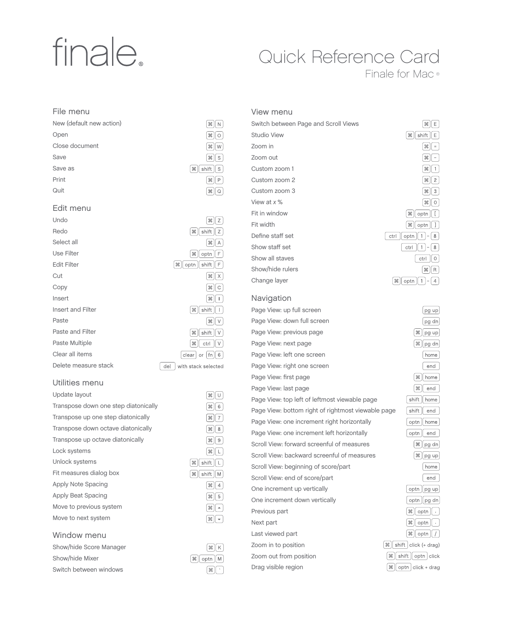# finale.

# Quick Reference Card

Finale for Mac ®

#### File menu

| New (default new action) | æ               |
|--------------------------|-----------------|
| Open                     | æ               |
| Close document           | æ<br>W          |
| Save                     | 噐               |
| Save as                  | æ<br>shift<br>Ś |
| Print                    | æ               |
| Quit                     | ж               |
|                          |                 |

#### Edit menu

| Undo                 | æ∥<br>Ζ                                |
|----------------------|----------------------------------------|
| Redo                 | æ<br>shift<br>Ζ                        |
| Select all           | æ<br>Α                                 |
| Use Filter           | II F<br>optn<br>ℋ                      |
| <b>Edit Filter</b>   | shift<br>$\frac{1}{2}$<br>optn<br>ll F |
| Cut                  | $\mathcal{H} \parallel \mathcal{X}$    |
| Copy                 | æ<br>II C                              |
| Insert               | $\frac{1}{2}$<br>ı                     |
| Insert and Filter    | Ж<br>shift<br>ı                        |
| Paste                | $\frac{1}{2}$<br>V                     |
| Paste and Filter     | shift<br>æ<br>V                        |
| Paste Multiple       | ctrl<br>$\frac{1}{26}$<br>V            |
| Clear all items      | or   fn $   6$<br>clear                |
| Delete measure stack | del<br>with stack selected             |

#### Utilities menu

| Update layout                        | æ                       |
|--------------------------------------|-------------------------|
| Transpose down one step diatonically | æ                       |
| Transpose up one step diatonically   | æ                       |
| Transpose down octave diatonically   | æ                       |
| Transpose up octave diatonically     | æ                       |
| Lock systems                         | æ                       |
| Unlock systems                       | shift<br>Ж              |
| Fit measures dialog box              | shift<br>$\frac{1}{26}$ |
| Apply Note Spacing                   | æ                       |
| Apply Beat Spacing                   | æ                       |
| Move to previous system              | æ                       |
| Move to next system                  | æ                       |
|                                      |                         |

#### Window menu

| Show/hide Score Manager |
|-------------------------|
| Show/hide Mixer         |
| Switch between windows  |

| l æ ∥ P                                                         |
|-----------------------------------------------------------------|
|                                                                 |
| $\  \mathcal{H} \ $ Q                                           |
|                                                                 |
|                                                                 |
| ೫    z                                                          |
| $\lceil x \rceil$ shift $\lceil z \rceil$                       |
| $\  \mathcal{H} \ $ A                                           |
|                                                                 |
| $\frac{1}{2}$   optn  <br>l F                                   |
| €∥ optn∥shift  <br>l F                                          |
| $\Vert x \Vert$                                                 |
| [೫    C                                                         |
| ສ∥∣                                                             |
| $\lceil 36 \rceil$ shift $\lceil$<br>ΙI                         |
|                                                                 |
| ∫æ∥v                                                            |
| ж    shift    ∨                                                 |
| $\lceil x \rceil \cot \lceil x \rceil$                          |
| $\lceil$ clear $\rceil$ or $\lceil$ fn $\rceil \mid$ 6 $\rceil$ |
| with stack selected                                             |
|                                                                 |
|                                                                 |
|                                                                 |

 $\boxed{\mathcal{H}}$ 

 $\sqrt{2}$ 

 $\sqrt{|\mathcal{H}|}$  $\sqrt{8}$ 

| ິສ∥∪                        |
|-----------------------------|
| $\  \mathcal{H} \ $ 6       |
| ສ∥7                         |
| $\  \mathcal{H} \ $ 8       |
| ೫   9                       |
| ೫    L                      |
| ж    shift    L             |
| $\frac{1}{2}$ shift $  M  $ |
| $\  \mathcal{H} \ $ 4       |
| ິ ೫    5                    |
| ∫ ૠ ∥ ≁                     |
| $\Vert \ast \Vert$          |
|                             |



| View menu                            |                             |
|--------------------------------------|-----------------------------|
| Switch between Page and Scroll Views | æ<br>Ε                      |
| <b>Studio View</b>                   | shift<br>E<br>æ             |
| Zoom in                              | ₩<br>$\equiv$               |
| Zoom out                             | æ                           |
| Custom zoom 1                        | æ                           |
| Custom zoom 2                        | $\overline{c}$<br>æ         |
| Custom zoom 3                        | Ж<br>3                      |
| View at x %                          | 噐<br>0                      |
| Fit in window                        | optn<br>æ                   |
| Fit width                            | $\frac{1}{26}$<br>optn      |
| Define staff set                     | ctrl<br>optn<br>8<br>1<br>- |
| Show staff set                       | ctrl<br>8<br>-              |
| Show all staves                      | ctrl<br>0                   |
| Show/hide rulers                     | $\frac{1}{2}$<br>R          |
| Change layer                         | æ<br>optn<br>4              |

#### Navigation

Page View: up full screen Page View: down full screen Page View: previous page Page View: next page Page View: left one screen Page View: right one screen Page View: first page Page View: last page Page View: top left of leftmost viewable page Page View: bottom right of rightmost viewable page Page View: one increment right horizontally Page View: one increment left horizontally Scroll View: forward screenful of measures Scroll View: backward screenful of measures Scroll View: beginning of score/part Scroll View: end of score/part One increment up vertically One increment down vertically Previous part Next part Last viewed part Zoom in to position Zoom out from position Drag visible region

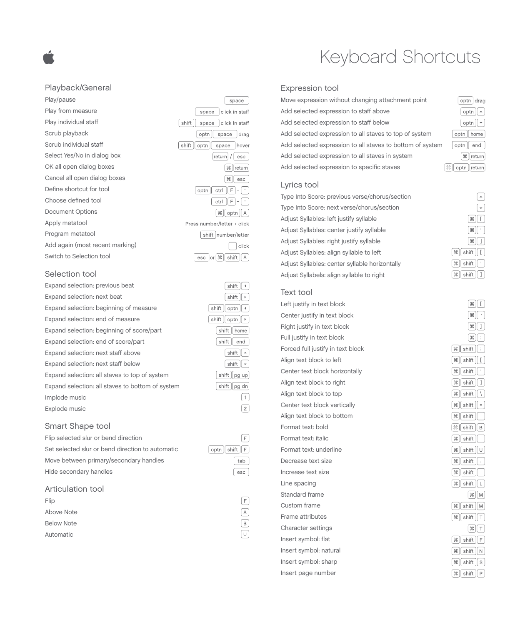#### Playback/General

Play/pause Play from measure Play individual staff Scrub playback Scrub individual staff Select Yes/No in dialog box OK all open dialog boxes Cancel all open dialog boxes Define shortcut for tool Choose defined tool Document Options Apply metatool Program metatool Add again (most recent marking) Switch to Selection tool

#### Selection tool

| Expand selection: previous beat                  |
|--------------------------------------------------|
| Expand selection: next beat                      |
| Expand selection: beginning of measure           |
| Expand selection: end of measure                 |
| Expand selection: beginning of score/part        |
| Expand selection: end of score/part              |
| Expand selection: next staff above               |
| Expand selection: next staff below               |
| Expand selection: all staves to top of system    |
| Expand selection: all staves to bottom of system |
| Implode music                                    |
| Explode music                                    |
|                                                  |

#### Smart Shape tool

Flip selected slur or bend direction Set selected slur or bend direction to automatic Move between primary/secondary handles Hide secondary handles

#### Articulation tool

| Flip              | $\overline{F}$ |
|-------------------|----------------|
| Above Note        | $\wedge$       |
| <b>Below Note</b> | $\mathsf{B}$   |
| Automatic         | $\cup$         |

# Keyboard Shortcuts

#### Expression tool

 $space$ space click in staff shift space click in staff optn space drag shift | optn | space | hover

> $[return] / [ esc]$  $[\mathcal{H}]$ return

 $\sqrt{2\pi}$  esc  $\boxed{\text{optn} \cdot \text{ctrl}}$  $\boxed{F}$  $\boxed{\cdot}$  $[\text{ctrl}[\text{F}]-\text{F}]$ 

 $\mathbb{R}$  optn  $\Lambda$ 

 $\n *shift*\n$  $\n **shift**\n  $\rightarrow$ \n$ 

 $\n **shift**\n **optn**\n  $\sqrt{}$$ 

 $[$ shift $[$ optn $]$   $\rightarrow$ 

shift nome shift end

 $\n **shift**\n  $\rightarrow$ \n$ 

 $\sqrt{\text{shift}\Big|\mathbf{v}\Big|}$ 

shift pg up

shift pg dn

 $optn$  shift  $F$ 

 $\left( \begin{matrix} \begin{matrix} 1 \end{matrix} \end{matrix} \right)$ 

 $\sqrt{2}$ 

F

tab

 $\sqrt{esc}$ 

Press number/letter + click shift number/letter  $\Box$  click

 $\sqrt{esc}$  or  $\sqrt{m}$  shift  $\sqrt{A}$ 

Move expression without changing attachment point Add selected expression to staff above Add selected expression to staff below Add selected expression to all staves to top of system Add selected expression to all staves to bottom of system Add selected expression to all staves in system Add selected expression to specific staves

| optn drag                    |
|------------------------------|
| $ $ optn $   \cdot   $       |
| $ $ optn $   \cdot$          |
| optn    home                 |
| optn    end                  |
| ж ∥return                    |
| <sub>3</sub> ↓ optn   return |

#### Lyrics tool

Type Into Score: previous verse/chorus/section Type Into Score: next verse/chorus/section Adjust Syllables: left justify syllable Adjust Syllables: center justify syllable Adjust Syllables: right justify syllable Adjust Syllables: align syllable to left Adjust Syllables: center syllable horizontally Adjust Syllabels: align syllable to right

### ⊡  $\exists$   $||$   $\Re$  $\mathbb{R}$  shift  $\boxed{1}$  $\mathbb{R}$  shift  $\sqrt{\cdot}$  $\sqrt{2\pi}$  shift  $\sqrt{1}$

#### Text tool

Left justify in text block Center justify in text block Right justify in text block Full justify in text block Forced full justify in text block Align text block to left Center text block horizontally Align text block to right Align text block to top Center text block vertically Align text block to bottom Format text: bold Format text: italic Format text: underline Decrease text size Increase text size Line spacing Standard frame Custom frame Frame attributes Character settings Insert symbol: flat Insert symbol: natural Insert symbol: sharp Insert page number

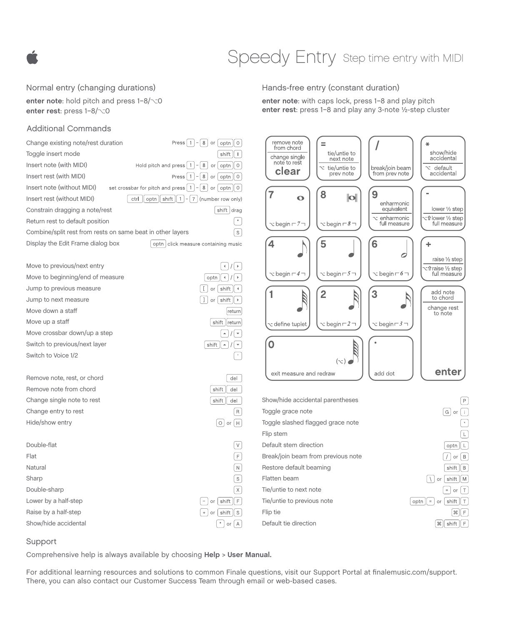# Speedy Entry step time entry with MIDI

#### Normal entry (changing durations)

**enter note**: hold pitch and press  $1-8/\sim0$ enter rest: press  $1-8/\sim0$ 

#### Additional Commands

| Change existing note/rest duration<br>Press                                                                                  | $1$ - 8 or<br>optn<br>$\circ$                                                   |
|------------------------------------------------------------------------------------------------------------------------------|---------------------------------------------------------------------------------|
| Toggle insert mode                                                                                                           | $\left  \cdot \right $<br>shift                                                 |
| Insert note (with MIDI)<br>Hold pitch and press $ 1 - 8 $ or $ $ optn $  0 $                                                 |                                                                                 |
| Insert rest (with MIDI)                                                                                                      | Press $\left[ 1 \right] - \left[ 8 \right]$ or $\left[$ optn $\left[ \right]$ 0 |
| Insert note (without MIDI)<br>set crossbar for pitch and press $\mid 1 \mid - \mid 8 \mid$ or $\mid$ optn $\mid \mid 0 \mid$ |                                                                                 |
| Insert rest (without MIDI)<br>shift  <br>ctrl<br>optn                                                                        | $1$   -   7   (number row only)                                                 |
| Constrain dragging a note/rest                                                                                               | shift drag                                                                      |
| Return rest to default position                                                                                              | $\boldsymbol{\theta}$                                                           |
| Combine/split rest from rests on same beat in other layers                                                                   | S                                                                               |
| Display the Edit Frame dialog box                                                                                            | optn   click measure containing music                                           |
| Move to previous/next entry                                                                                                  |                                                                                 |
| Move to beginning/end of measure                                                                                             | optn<br>$\blacktriangleleft$                                                    |
| Jump to previous measure                                                                                                     | shift<br>or                                                                     |
| Jump to next measure                                                                                                         | shift<br>or<br>1<br>k                                                           |
| Move down a staff                                                                                                            | return                                                                          |
| Move up a staff                                                                                                              | shift   return                                                                  |
| Move crossbar down/up a step                                                                                                 | $\blacktriangle$                                                                |
| Switch to previous/next layer                                                                                                | shift<br>Â                                                                      |
| Switch to Voice 1/2                                                                                                          |                                                                                 |
| Remove note, rest, or chord                                                                                                  | del                                                                             |
| Remove note from chord                                                                                                       | shift<br>del                                                                    |
| Change single note to rest                                                                                                   | shift<br>del                                                                    |
| Change entry to rest                                                                                                         | R                                                                               |
| Hide/show entry                                                                                                              | $\circ$ or<br>н                                                                 |
| Double-flat                                                                                                                  |                                                                                 |
| Flat                                                                                                                         | F                                                                               |
| Natural                                                                                                                      | $\overline{N}$                                                                  |
| Sharp                                                                                                                        | $\overline{s}$                                                                  |
| Double-sharp                                                                                                                 | $\mathsf X$                                                                     |
| Lower by a half-step                                                                                                         | F<br>shift<br>or                                                                |
| Raise by a half-step                                                                                                         | shift<br>S<br>$\ddot{}$<br>or                                                   |
| Show/hide accidental                                                                                                         | ×<br>A<br>or                                                                    |

Hands-free entry (constant duration)

**enter note**: with caps lock, press 1–8 and play pitch **enter rest**: press 1–8 and play any 3-note ½-step cluster



#### Support

Comprehensive help is always available by choosing **Help** > **User Manual.** 

For additional learning resources and solutions to common Finale questions, visit our Support Portal at finalemusic.com/support. There, you can also contact our Customer Success Team through email or web-based cases.